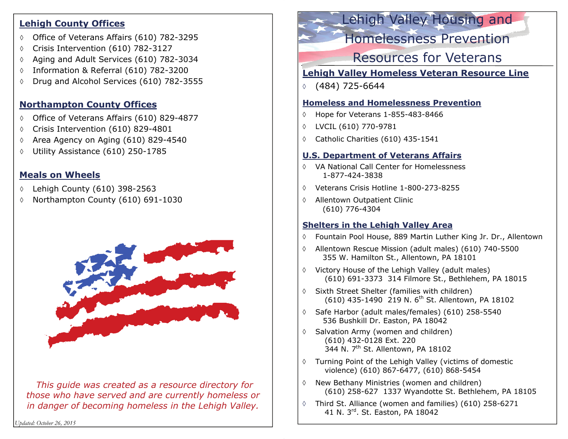#### **Lehigh County Offices**

- Office of Veterans Affairs (610) 782-3295
- $\Diamond$ Crisis Intervention (610) 782-3127
- ♦ Aging and Adult Services (610) 782-3034
- ♦ Information & Referral (610) 782-3200
- ♦ Drug and Alcohol Services (610) 782-3555

## **Northampton County Offices**

- $\lozenge$  Office of Veterans Affairs (610) 829-4877
- $\Diamond$ Crisis Intervention (610) 829-4801
- ♦ Area Agency on Aging (610) 829-4540
- ♦ Utility Assistance (610) 250-1785

## **Meals on Wheels**

- $\Diamond$ Lehigh County (610) 398-2563
- $\Diamond$ Northampton County (610) 691-1030



*This guide was created as a resource directory for those who have served and are currently homeless or in danger of becoming homeless in the Lehigh Valley.*

*Updated: October 26, 2015* 

# Lehigh Valley Housing and

Homelessness Prevention

# Resources for Veterans

## **Lehigh Valley Homeless Veteran Resource Line**

 $\Diamond$ (484) 725-6644

#### **Homeless and Homelessness Prevention**

- $\Diamond$ Hope for Veterans 1-855-483-8466
- ♦ LVCIL (610) 770-9781
- $\Diamond$ Catholic Charities (610) 435-1541

## **U.S. Department of Veterans Affairs**

- VA National Call Center for Homelessness 1-877-424-3838
- Veterans Crisis Hotline 1-800-273-8255
- Allentown Outpatient Clinic (610) 776-4304

## **Shelters in the Lehigh Valley Area**

- Fountain Pool House, 889 Martin Luther King Jr. Dr., Allentown
- Allentown Rescue Mission (adult males) (610) 740-5500 355 W. Hamilton St., Allentown, PA 18101
- Victory House of the Lehigh Valley (adult males) (610) 691-3373 314 Filmore St., Bethlehem, PA 18015
- Sixth Street Shelter (families with children) (610) 435-1490 219 N. 6<sup>th</sup> St. Allentown, PA 18102
- Safe Harbor (adult males/females) (610) 258-5540 536 Bushkill Dr. Easton, PA 18042
- $\Diamond$  Salvation Army (women and children) (610) 432-0128 Ext. 220 344 N. 7<sup>th</sup> St. Allentown, PA 18102
- Turning Point of the Lehigh Valley (victims of domestic violence) (610) 867-6477, (610) 868-5454
- $\Diamond$  Mew Bethany Ministries (women and children) (610) 258-627 1337 Wyandotte St. Bethlehem, PA 18105
- Third St. Alliance (women and families) (610) 258-6271 41 N. 3rd. St. Easton, PA 18042